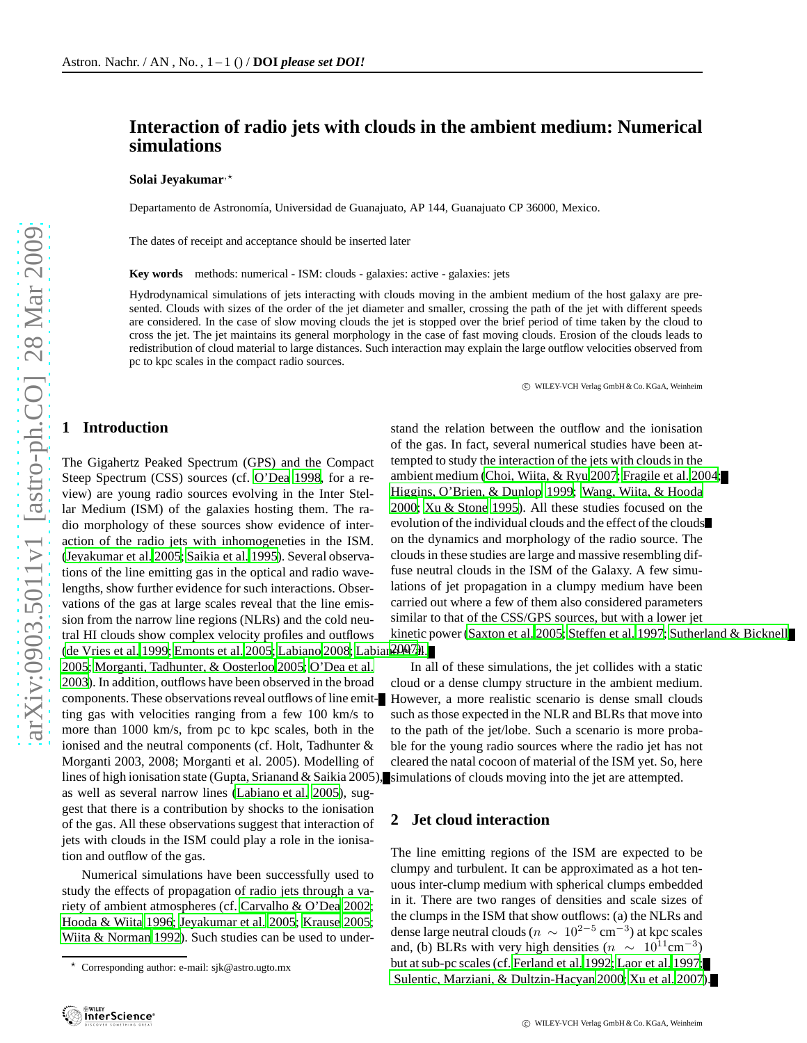# **Interaction of radio jets with clouds in the ambient medium: Numerical simulations**

#### Solai Jeyakumar<sup>,\*</sup>

Departamento de Astronomía, Universidad de Guanajuato, AP 144, Guanajuato CP 36000, Mexico.

The dates of receipt and acceptance should be inserted later

**Key words** methods: numerical - ISM: clouds - galaxies: active - galaxies: jets

Hydrodynamical simulations of jets interacting with clouds moving in the ambient medium of the host galaxy are presented. Clouds with sizes of the order of the jet diameter and smaller, crossing the path of the jet with different speeds are considered. In the case of slow moving clouds the jet is stopped over the brief period of time taken by the cloud to cross the jet. The jet maintains its general morphology in the case of fast moving clouds. Erosion of the clouds leads to redistribution of cloud material to large distances. Such interaction may explain the large outflow velocities observed from pc to kpc scales in the compact radio sources.

c WILEY-VCH Verlag GmbH & Co. KGaA, Weinheim

### **1 Introduction**

The Gigahertz Peaked Spectrum (GPS) and the Compact Steep Spectrum (CSS) sources (cf. [O'Dea 1998,](#page-3-0) for a review) are young radio sources evolving in the Inter Stellar Medium (ISM) of the galaxies hosting them. The radio morphology of these sources show evidence of interaction of the radio jets with inhomogeneties in the ISM. [\(Jeyakumar et al. 2005](#page-3-1); [Saikia et al. 1995\)](#page-3-2). Several observations of the line emitting gas in the optical and radio wavelengths, show further evidence for such interactions. Observations of the gas at large scales reveal that the line emission from the narrow line regions (NLRs) and the cold neutral HI clouds show complex velocity profiles and outflows [\(de Vries et al. 1999;](#page-3-3) [Emonts et al. 2005;](#page-3-4) [Labiano 2008;](#page-3-5) Labian2007al. [2005;](#page-3-6) [Morganti, Tadhunter, & Oosterloo 2005;](#page-3-7) [O'Dea et al.](#page-3-8) [2003\)](#page-3-8). In addition, outflows have been observed in the broad components. These observations reveal outflows of line emitting gas with velocities ranging from a few 100 km/s to more than 1000 km/s, from pc to kpc scales, both in the ionised and the neutral components (cf. Holt, Tadhunter & Morganti 2003, 2008; Morganti et al. 2005). Modelling of lines of high ionisation state (Gupta, Srianand & Saikia 2005), as well as several narrow lines [\(Labiano et al. 2005\)](#page-3-6), suggest that there is a contribution by shocks to the ionisation of the gas. All these observations suggest that interaction of jets with clouds in the ISM could play a role in the ionisation and outflow of the gas.

Numerical simulations have been successfully used to study the effects of propagation of radio jets through a variety of ambient atmospheres (cf. [Carvalho & O'Dea 2002;](#page-3-9) [Hooda & Wiita 1996;](#page-3-10) [Jeyakumar et al. 2005;](#page-3-1) [Krause 2005;](#page-3-11) [Wiita & Norman 1992\)](#page-3-12). Such studies can be used to understand the relation between the outflow and the ionisation of the gas. In fact, several numerical studies have been attempted to study the interaction of the jets with clouds in the ambient medium [\(Choi, Wiita, & Ryu 2007](#page-3-13); [Fragile et al. 2004;](#page-3-14) [Higgins, O'Brien, & Dunlop 1999;](#page-3-15) [Wang, Wiita, & Hooda](#page-3-16) [2000;](#page-3-16) [Xu & Stone 1995\)](#page-3-17). All these studies focused on the evolution of the individual clouds and the effect of the clouds on the dynamics and morphology of the radio source. The clouds in these studies are large and massive resembling diffuse neutral clouds in the ISM of the Galaxy. A few simulations of jet propagation in a clumpy medium have been carried out where a few of them also considered parameters similar to that of the CSS/GPS sources, but with a lower jet kinetic power [\(Saxton et al. 2005;](#page-3-18) [Steffen et al. 1997;](#page-3-19) [Sutherland & Bicknell](#page-3-20)

In all of these simulations, the jet collides with a static cloud or a dense clumpy structure in the ambient medium. However, a more realistic scenario is dense small clouds such as those expected in the NLR and BLRs that move into to the path of the jet/lobe. Such a scenario is more probable for the young radio sources where the radio jet has not cleared the natal cocoon of material of the ISM yet. So, here simulations of clouds moving into the jet are attempted.

# **2 Jet cloud interaction**

The line emitting regions of the ISM are expected to be clumpy and turbulent. It can be approximated as a hot tenuous inter-clump medium with spherical clumps embedded in it. There are two ranges of densities and scale sizes of the clumps in the ISM that show outflows: (a) the NLRs and dense large neutral clouds ( $n \sim 10^{2-5}$  cm<sup>-3</sup>) at kpc scales and, (b) BLRs with very high densities  $(n \sim 10^{11} \text{cm}^{-3})$ but at sub-pc scales (cf. [Ferland et al. 1992;](#page-3-21) [Laor et al. 1997;](#page-3-22) [Sulentic, Marziani, & Dultzin-Hacyan 2000](#page-3-23); [Xu et al. 2007\)](#page-3-24).

 $\star$  Corresponding author: e-mail: sjk@astro.ugto.mx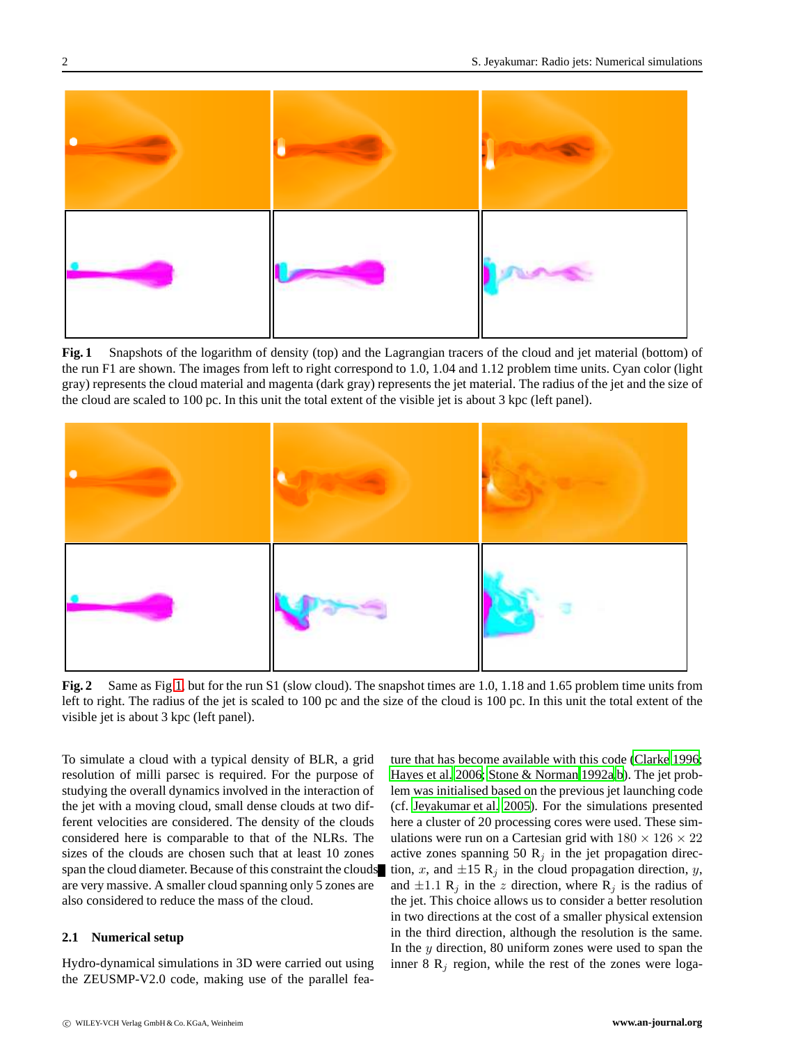

<span id="page-1-0"></span>**Fig. 1** Snapshots of the logarithm of density (top) and the Lagrangian tracers of the cloud and jet material (bottom) of the run F1 are shown. The images from left to right correspond to 1.0, 1.04 and 1.12 problem time units. Cyan color (light gray) represents the cloud material and magenta (dark gray) represents the jet material. The radius of the jet and the size of the cloud are scaled to 100 pc. In this unit the total extent of the visible jet is about 3 kpc (left panel).



<span id="page-1-1"></span>**Fig. 2** Same as Fig [1,](#page-1-0) but for the run S1 (slow cloud). The snapshot times are 1.0, 1.18 and 1.65 problem time units from left to right. The radius of the jet is scaled to 100 pc and the size of the cloud is 100 pc. In this unit the total extent of the visible jet is about 3 kpc (left panel).

To simulate a cloud with a typical density of BLR, a grid resolution of milli parsec is required. For the purpose of studying the overall dynamics involved in the interaction of the jet with a moving cloud, small dense clouds at two different velocities are considered. The density of the clouds considered here is comparable to that of the NLRs. The sizes of the clouds are chosen such that at least 10 zones span the cloud diameter. Because of this constraint the clouds are very massive. A smaller cloud spanning only 5 zones are also considered to reduce the mass of the cloud.

#### **2.1 Numerical setup**

Hydro-dynamical simulations in 3D were carried out using the ZEUSMP-V2.0 code, making use of the parallel feature that has become available with this code [\(Clarke 1996;](#page-3-25) [Hayes et al. 2006;](#page-3-26) [Stone & Norman 1992a](#page-3-27)[,b](#page-3-28)). The jet problem was initialised based on the previous jet launching code (cf. [Jeyakumar et al. 2005\)](#page-3-1). For the simulations presented here a cluster of 20 processing cores were used. These simulations were run on a Cartesian grid with  $180 \times 126 \times 22$ active zones spanning 50  $R_j$  in the jet propagation direction, x, and  $\pm 15 \text{ R}_j$  in the cloud propagation direction, y, and  $\pm 1.1$  R<sub>j</sub> in the z direction, where R<sub>j</sub> is the radius of the jet. This choice allows us to consider a better resolution in two directions at the cost of a smaller physical extension in the third direction, although the resolution is the same. In the  $y$  direction, 80 uniform zones were used to span the inner 8  $R_i$  region, while the rest of the zones were loga-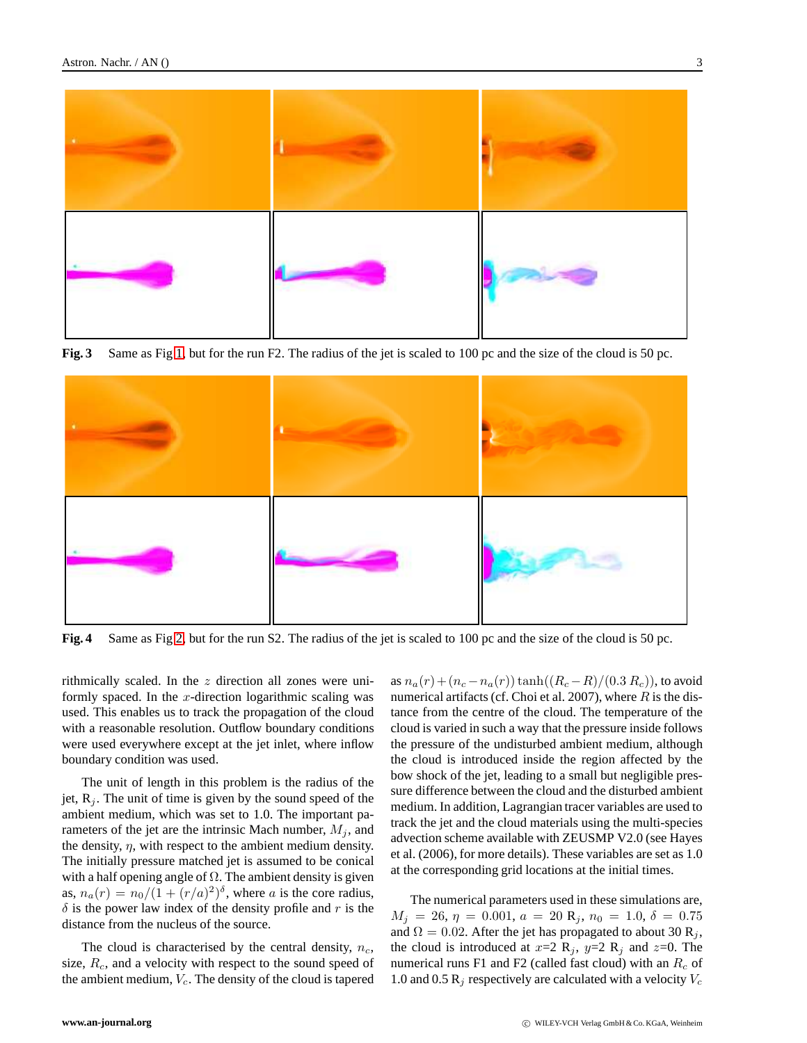

**Fig. 3** Same as Fig [1,](#page-1-0) but for the run F2. The radius of the jet is scaled to 100 pc and the size of the cloud is 50 pc.



<span id="page-2-0"></span>**Fig. 4** Same as Fig [2,](#page-1-1) but for the run S2. The radius of the jet is scaled to 100 pc and the size of the cloud is 50 pc.

rithmically scaled. In the z direction all zones were uniformly spaced. In the x-direction logarithmic scaling was used. This enables us to track the propagation of the cloud with a reasonable resolution. Outflow boundary conditions were used everywhere except at the jet inlet, where inflow boundary condition was used.

The unit of length in this problem is the radius of the jet,  $R_i$ . The unit of time is given by the sound speed of the ambient medium, which was set to 1.0. The important parameters of the jet are the intrinsic Mach number,  $M_i$ , and the density,  $\eta$ , with respect to the ambient medium density. The initially pressure matched jet is assumed to be conical with a half opening angle of  $\Omega$ . The ambient density is given as,  $n_a(r) = n_0/(1 + (r/a)^2)^{\delta}$ , where a is the core radius,  $\delta$  is the power law index of the density profile and r is the distance from the nucleus of the source.

The cloud is characterised by the central density,  $n_c$ , size,  $R_c$ , and a velocity with respect to the sound speed of the ambient medium,  $V_c$ . The density of the cloud is tapered

as  $n_a(r) + (n_c - n_a(r)) \tanh((R_c - R)/(0.3 R_c))$ , to avoid numerical artifacts (cf. Choi et al. 2007), where  $R$  is the distance from the centre of the cloud. The temperature of the cloud is varied in such a way that the pressure inside follows the pressure of the undisturbed ambient medium, although the cloud is introduced inside the region affected by the bow shock of the jet, leading to a small but negligible pressure difference between the cloud and the disturbed ambient medium. In addition, Lagrangian tracer variables are used to track the jet and the cloud materials using the multi-species advection scheme available with ZEUSMP V2.0 (see Hayes et al. (2006), for more details). These variables are set as 1.0 at the corresponding grid locations at the initial times.

The numerical parameters used in these simulations are,  $M_j = 26, \eta = 0.001, a = 20$  R<sub>j</sub>,  $n_0 = 1.0, \delta = 0.75$ and  $\Omega = 0.02$ . After the jet has propagated to about 30 R<sub>j</sub>, the cloud is introduced at  $x=2$  R<sub>j</sub>,  $y=2$  R<sub>j</sub> and  $z=0$ . The numerical runs F1 and F2 (called fast cloud) with an  $R_c$  of 1.0 and 0.5 R<sub>i</sub> respectively are calculated with a velocity  $V_c$